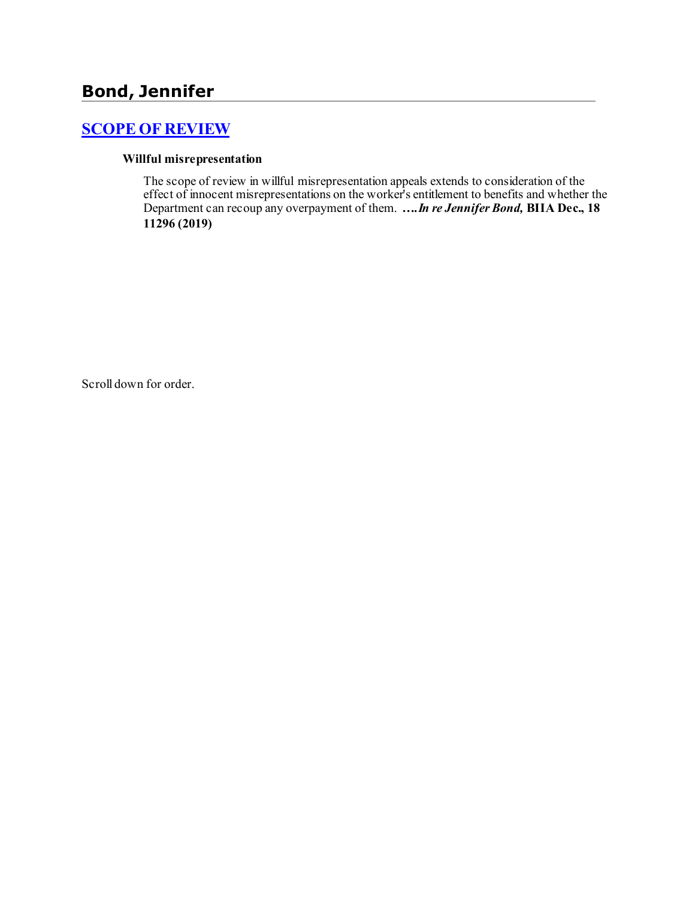# **Bond, Jennifer**

## **[SCOPE OF REVIEW](http://www.biia.wa.gov/SDSubjectIndex.html#SCOPE_OF_REVIEW)**

#### **Willful misrepresentation**

The scope of review in willful misrepresentation appeals extends to consideration of the effect of innocent misrepresentations on the worker's entitlement to benefits and whether the Department can recoup any overpayment of them. *….In re Jennifer Bond,* **BIIA Dec., 18 11296 (2019)**

Scroll down for order.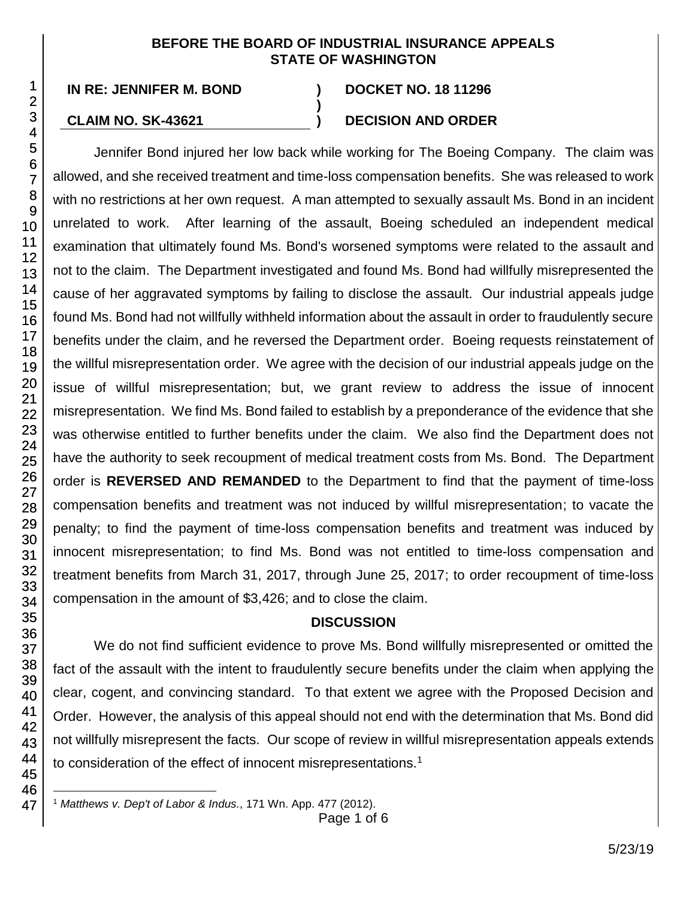#### **BEFORE THE BOARD OF INDUSTRIAL INSURANCE APPEALS STATE OF WASHINGTON**

**)**

**IN RE: JENNIFER M. BOND ) DOCKET NO. 18 11296**

#### **CLAIM NO. SK-43621 ) DECISION AND ORDER**

Jennifer Bond injured her low back while working for The Boeing Company. The claim was allowed, and she received treatment and time-loss compensation benefits. She was released to work with no restrictions at her own request. A man attempted to sexually assault Ms. Bond in an incident unrelated to work. After learning of the assault, Boeing scheduled an independent medical examination that ultimately found Ms. Bond's worsened symptoms were related to the assault and not to the claim. The Department investigated and found Ms. Bond had willfully misrepresented the cause of her aggravated symptoms by failing to disclose the assault. Our industrial appeals judge found Ms. Bond had not willfully withheld information about the assault in order to fraudulently secure benefits under the claim, and he reversed the Department order. Boeing requests reinstatement of the willful misrepresentation order. We agree with the decision of our industrial appeals judge on the issue of willful misrepresentation; but, we grant review to address the issue of innocent misrepresentation. We find Ms. Bond failed to establish by a preponderance of the evidence that she was otherwise entitled to further benefits under the claim. We also find the Department does not have the authority to seek recoupment of medical treatment costs from Ms. Bond. The Department order is **REVERSED AND REMANDED** to the Department to find that the payment of time-loss compensation benefits and treatment was not induced by willful misrepresentation; to vacate the penalty; to find the payment of time-loss compensation benefits and treatment was induced by innocent misrepresentation; to find Ms. Bond was not entitled to time-loss compensation and treatment benefits from March 31, 2017, through June 25, 2017; to order recoupment of time-loss compensation in the amount of \$3,426; and to close the claim.

## **DISCUSSION**

We do not find sufficient evidence to prove Ms. Bond willfully misrepresented or omitted the fact of the assault with the intent to fraudulently secure benefits under the claim when applying the clear, cogent, and convincing standard. To that extent we agree with the Proposed Decision and Order. However, the analysis of this appeal should not end with the determination that Ms. Bond did not willfully misrepresent the facts. Our scope of review in willful misrepresentation appeals extends to consideration of the effect of innocent misrepresentations.<sup>1</sup>

l <sup>1</sup> *Matthews v. Dep't of Labor & Indus.*, 171 Wn. App. 477 (2012).

Page 1 of 6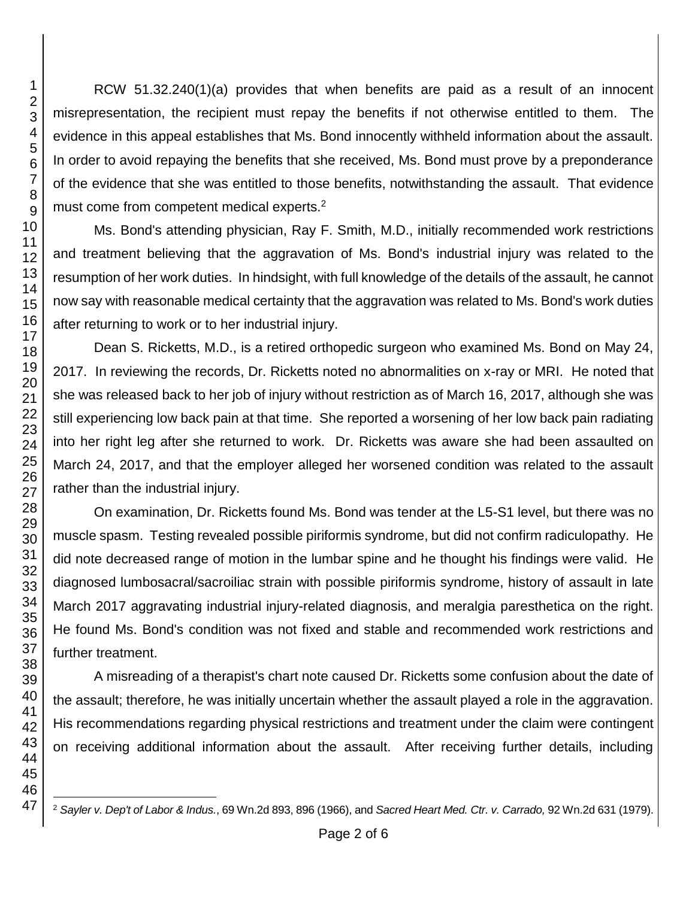RCW 51.32.240(1)(a) provides that when benefits are paid as a result of an innocent misrepresentation, the recipient must repay the benefits if not otherwise entitled to them. The evidence in this appeal establishes that Ms. Bond innocently withheld information about the assault. In order to avoid repaying the benefits that she received, Ms. Bond must prove by a preponderance of the evidence that she was entitled to those benefits, notwithstanding the assault. That evidence must come from competent medical experts.<sup>2</sup>

Ms. Bond's attending physician, Ray F. Smith, M.D., initially recommended work restrictions and treatment believing that the aggravation of Ms. Bond's industrial injury was related to the resumption of her work duties. In hindsight, with full knowledge of the details of the assault, he cannot now say with reasonable medical certainty that the aggravation was related to Ms. Bond's work duties after returning to work or to her industrial injury.

Dean S. Ricketts, M.D., is a retired orthopedic surgeon who examined Ms. Bond on May 24, 2017. In reviewing the records, Dr. Ricketts noted no abnormalities on x-ray or MRI. He noted that she was released back to her job of injury without restriction as of March 16, 2017, although she was still experiencing low back pain at that time. She reported a worsening of her low back pain radiating into her right leg after she returned to work. Dr. Ricketts was aware she had been assaulted on March 24, 2017, and that the employer alleged her worsened condition was related to the assault rather than the industrial injury.

On examination, Dr. Ricketts found Ms. Bond was tender at the L5-S1 level, but there was no muscle spasm. Testing revealed possible piriformis syndrome, but did not confirm radiculopathy. He did note decreased range of motion in the lumbar spine and he thought his findings were valid. He diagnosed lumbosacral/sacroiliac strain with possible piriformis syndrome, history of assault in late March 2017 aggravating industrial injury-related diagnosis, and meralgia paresthetica on the right. He found Ms. Bond's condition was not fixed and stable and recommended work restrictions and further treatment.

A misreading of a therapist's chart note caused Dr. Ricketts some confusion about the date of the assault; therefore, he was initially uncertain whether the assault played a role in the aggravation. His recommendations regarding physical restrictions and treatment under the claim were contingent on receiving additional information about the assault. After receiving further details, including

l *Sayler v. Dep't of Labor & Indus.*, 69 Wn.2d 893, 896 (1966), and *Sacred Heart Med. Ctr. v. Carrado,* 92 Wn.2d 631 (1979).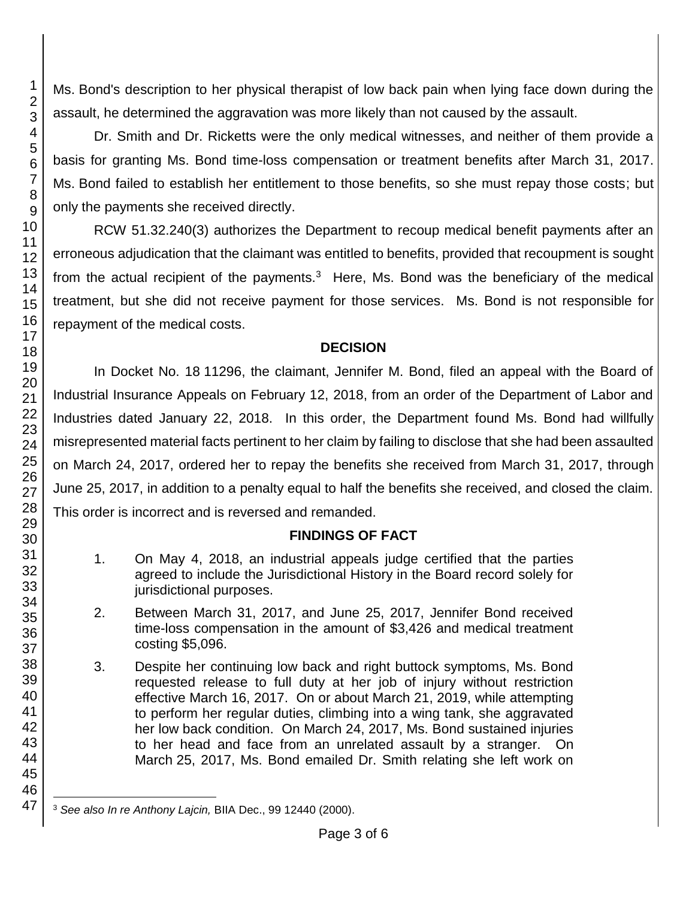Ms. Bond's description to her physical therapist of low back pain when lying face down during the assault, he determined the aggravation was more likely than not caused by the assault.

Dr. Smith and Dr. Ricketts were the only medical witnesses, and neither of them provide a basis for granting Ms. Bond time-loss compensation or treatment benefits after March 31, 2017. Ms. Bond failed to establish her entitlement to those benefits, so she must repay those costs; but only the payments she received directly.

RCW 51.32.240(3) authorizes the Department to recoup medical benefit payments after an erroneous adjudication that the claimant was entitled to benefits, provided that recoupment is sought from the actual recipient of the payments. $3$  Here, Ms. Bond was the beneficiary of the medical treatment, but she did not receive payment for those services. Ms. Bond is not responsible for repayment of the medical costs.

### **DECISION**

In Docket No. 18 11296, the claimant, Jennifer M. Bond, filed an appeal with the Board of Industrial Insurance Appeals on February 12, 2018, from an order of the Department of Labor and Industries dated January 22, 2018. In this order, the Department found Ms. Bond had willfully misrepresented material facts pertinent to her claim by failing to disclose that she had been assaulted on March 24, 2017, ordered her to repay the benefits she received from March 31, 2017, through June 25, 2017, in addition to a penalty equal to half the benefits she received, and closed the claim. This order is incorrect and is reversed and remanded.

## **FINDINGS OF FACT**

- 1. On May 4, 2018, an industrial appeals judge certified that the parties agreed to include the Jurisdictional History in the Board record solely for jurisdictional purposes.
- 2. Between March 31, 2017, and June 25, 2017, Jennifer Bond received time-loss compensation in the amount of \$3,426 and medical treatment costing \$5,096.
- 3. Despite her continuing low back and right buttock symptoms, Ms. Bond requested release to full duty at her job of injury without restriction effective March 16, 2017. On or about March 21, 2019, while attempting to perform her regular duties, climbing into a wing tank, she aggravated her low back condition. On March 24, 2017, Ms. Bond sustained injuries to her head and face from an unrelated assault by a stranger. On March 25, 2017, Ms. Bond emailed Dr. Smith relating she left work on

l <sup>3</sup> *See also In re Anthony Lajcin,* BIIA Dec., 99 12440 (2000).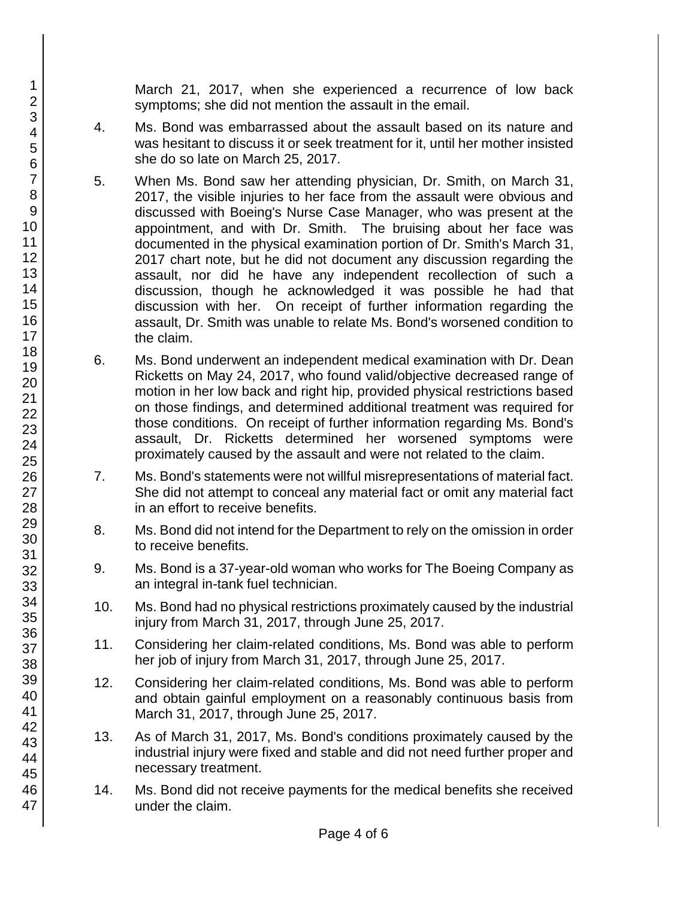March 21, 2017, when she experienced a recurrence of low back symptoms; she did not mention the assault in the email.

- 4. Ms. Bond was embarrassed about the assault based on its nature and was hesitant to discuss it or seek treatment for it, until her mother insisted she do so late on March 25, 2017.
- 5. When Ms. Bond saw her attending physician, Dr. Smith, on March 31, 2017, the visible injuries to her face from the assault were obvious and discussed with Boeing's Nurse Case Manager, who was present at the appointment, and with Dr. Smith. The bruising about her face was documented in the physical examination portion of Dr. Smith's March 31, 2017 chart note, but he did not document any discussion regarding the assault, nor did he have any independent recollection of such a discussion, though he acknowledged it was possible he had that discussion with her. On receipt of further information regarding the assault, Dr. Smith was unable to relate Ms. Bond's worsened condition to the claim.
- 6. Ms. Bond underwent an independent medical examination with Dr. Dean Ricketts on May 24, 2017, who found valid/objective decreased range of motion in her low back and right hip, provided physical restrictions based on those findings, and determined additional treatment was required for those conditions. On receipt of further information regarding Ms. Bond's assault, Dr. Ricketts determined her worsened symptoms were proximately caused by the assault and were not related to the claim.
- 7. Ms. Bond's statements were not willful misrepresentations of material fact. She did not attempt to conceal any material fact or omit any material fact in an effort to receive benefits.
- 8. Ms. Bond did not intend for the Department to rely on the omission in order to receive benefits.
- 9. Ms. Bond is a 37-year-old woman who works for The Boeing Company as an integral in-tank fuel technician.
- 10. Ms. Bond had no physical restrictions proximately caused by the industrial injury from March 31, 2017, through June 25, 2017.
- 11. Considering her claim-related conditions, Ms. Bond was able to perform her job of injury from March 31, 2017, through June 25, 2017.
- 12. Considering her claim-related conditions, Ms. Bond was able to perform and obtain gainful employment on a reasonably continuous basis from March 31, 2017, through June 25, 2017.
- 13. As of March 31, 2017, Ms. Bond's conditions proximately caused by the industrial injury were fixed and stable and did not need further proper and necessary treatment.
- 14. Ms. Bond did not receive payments for the medical benefits she received under the claim.

47

1 2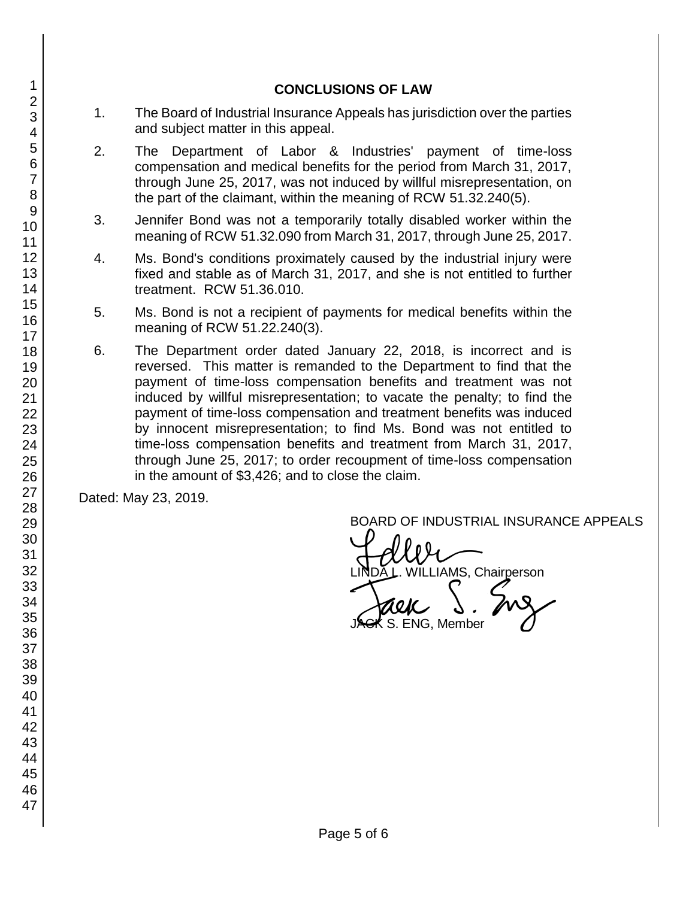#### **CONCLUSIONS OF LAW**

- 1. The Board of Industrial Insurance Appeals has jurisdiction over the parties and subject matter in this appeal.
- 2. The Department of Labor & Industries' payment of time-loss compensation and medical benefits for the period from March 31, 2017, through June 25, 2017, was not induced by willful misrepresentation, on the part of the claimant, within the meaning of RCW 51.32.240(5).
- 3. Jennifer Bond was not a temporarily totally disabled worker within the meaning of RCW 51.32.090 from March 31, 2017, through June 25, 2017.
- 4. Ms. Bond's conditions proximately caused by the industrial injury were fixed and stable as of March 31, 2017, and she is not entitled to further treatment. RCW 51.36.010.
- 5. Ms. Bond is not a recipient of payments for medical benefits within the meaning of RCW 51.22.240(3).
- 6. The Department order dated January 22, 2018, is incorrect and is reversed. This matter is remanded to the Department to find that the payment of time-loss compensation benefits and treatment was not induced by willful misrepresentation; to vacate the penalty; to find the payment of time-loss compensation and treatment benefits was induced by innocent misrepresentation; to find Ms. Bond was not entitled to time-loss compensation benefits and treatment from March 31, 2017, through June 25, 2017; to order recoupment of time-loss compensation in the amount of \$3,426; and to close the claim.

Dated: May 23, 2019.

BOARD OF INDUSTRIAL INSURANCE APPEALS

BOARD OF INDUSTRIAL INSURAM<br>LINDA L. WILLIAMS, Chairperson<br>JAGK S. ENG, Member

 $\zeta$  S. ENG, Member